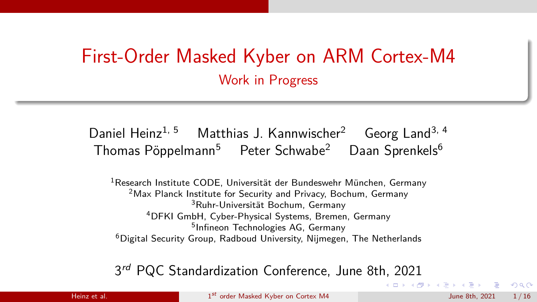# <span id="page-0-0"></span>First-Order Masked Kyber on ARM Cortex-M4 Work in Progress

## Daniel Heinz<sup>1, 5</sup> Matthias J. Kannwischer<sup>2</sup> Georg Land<sup>3, 4</sup> Thomas Pöppelmann<sup>5</sup> Peter Schwabe<sup>2</sup> Daan Sprenkels<sup>6</sup>

<sup>1</sup> Research Institute CODE, Universität der Bundeswehr München, Germany <sup>2</sup>Max Planck Institute for Security and Privacy, Bochum, Germany <sup>3</sup>Ruhr-Universität Bochum, Germany <sup>4</sup>DFKI GmbH, Cyber-Physical Systems, Bremen, Germany <sup>5</sup>Infineon Technologies AG, Germany<br><sup>6</sup>Digital Security Group, Radboud University, Nijmegen, The Netherlands

## 3rd PQC Standardization Conference, June 8th, 2021

Heinz et al. 1st [order Masked Kyber on Cortex M4](#page-15-0) June 8th, 2021 1/16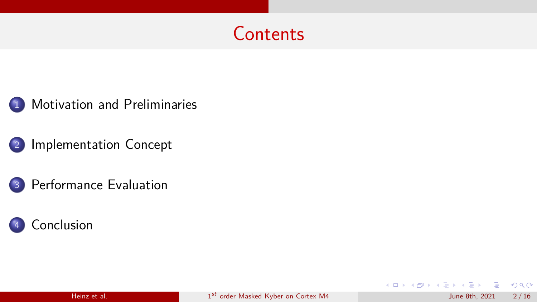

1 [Motivation and Preliminaries](#page-2-0) 

2 [Implementation Concept](#page-4-0) 

3 [Performance Evaluation](#page-10-0) 



**British** 

∍

 $299$ 

4 0 8

 $AB + 4E$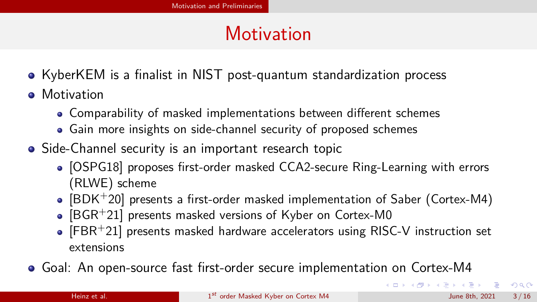# **Motivation**

- <span id="page-2-0"></span>• KyberKEM is a finalist in NIST post-quantum standardization process
- **•** Motivation
	- Comparability of masked implementations between different schemes
	- Gain more insights on side-channel security of proposed schemes
- Side-Channel security is an important research topic
	- [\[OSPG18\]](#page-12-0) proposes first-order masked CCA2-secure Ring-Learning with errors (RLWE) scheme
	- $\bullet$  [\[BDK](#page-12-1)+20] presents a first-order masked implementation of Saber (Cortex-M4)
	- $\bullet$  [\[BGR](#page-12-2)<sup>+</sup>21] presents masked versions of Kyber on Cortex-M0
	- $\bullet$  [\[FBR](#page-12-3)<sup>+</sup>21] presents masked hardware accelerators using RISC-V instruction set extensions
- Goal: An open-source fast frst-order secure implementation on Cortex-M4

 $200$ 

 $\mathbf{A} \cdot \mathbf{A}$  . The  $\mathbf{A}$ 

( □ ) ( / f)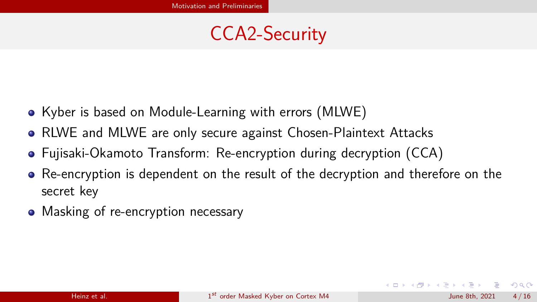# CCA2-Security

- Kyber is based on Module-Learning with errors (MLWE)
- RLWE and MLWE are only secure against Chosen-Plaintext Attacks
- Fujisaki-Okamoto Transform: Re-encryption during decryption (CCA)
- Re-encryption is dependent on the result of the decryption and therefore on the secret key
- Masking of re-encryption necessary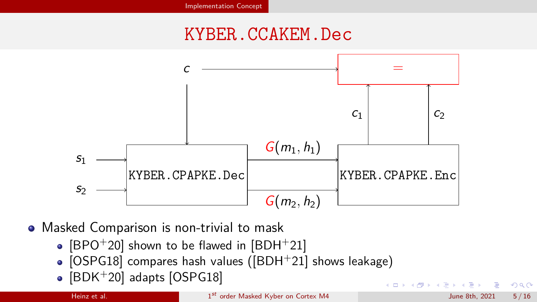## KYBER.CCAKEM.Dec

<span id="page-4-0"></span>

• Masked Comparison is non-trivial to mask

- [\[BPO](#page-12-4)<sup>+</sup>20] shown to be flawed in [\[BDH](#page-12-5)<sup>+</sup>21]
- [\[OSPG18\]](#page-12-0) compares hash values ([\[BDH](#page-12-5)+21] shows leakage)
- $\bullet$  [\[BDK](#page-12-1)+20] adapts [\[OSPG18\]](#page-12-0)

つへへ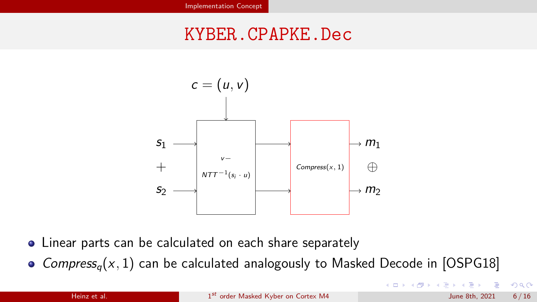## KYBER.CPAPKE.Dec



- Linear parts can be calculated on each share separately
- Compress<sub>a</sub> $(x, 1)$  can be calculated analogously to Masked Decode in [\[OSPG18\]](#page-12-0)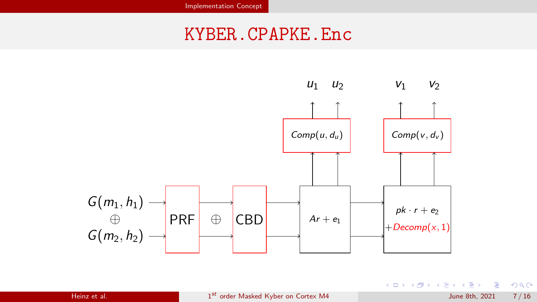## KYBER.CPAPKE.Enc



重

 $299$ 

E

 $\leftarrow$ 

 $\rightarrow$ 

∢母

э

 $\blacktriangleright$   $\blacktriangleleft$  $\rightarrow$  $\rightarrow$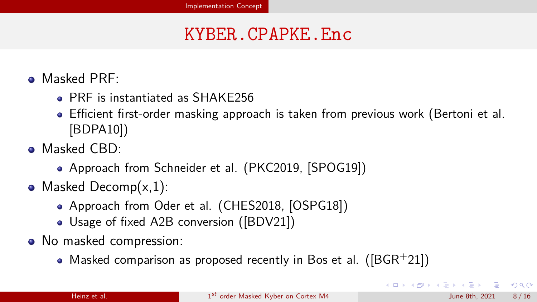## KYBER.CPAPKE.Enc

- **O** Masked PRF:
	- PRF is instantiated as SHAKE256
	- Efficient first-order masking approach is taken from previous work (Bertoni et al. [\[BDPA10\]](#page-12-6))
- **O** Masked CBD:
	- Approach from Schneider et al. (PKC2019, [\[SPOG19\]](#page-12-7))
- Masked Decomp $(x,1)$ :
	- Approach from Oder et al. (CHES2018, [\[OSPG18\]](#page-12-0))
	- Usage of fixed A2B conversion ([\[BDV21\]](#page-12-8))
- No masked compression:
	- Masked comparison as proposed recently in Bos et al. ( $[BGR+21]$  $[BGR+21]$ )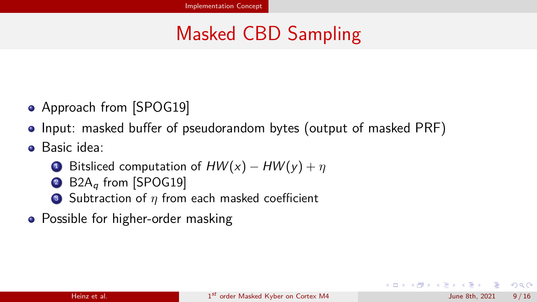# Masked CBD Sampling

- Approach from [\[SPOG19\]](#page-12-7)
- Input: masked buffer of pseudorandom bytes (output of masked PRF)
- Basic idea:
	- **1**Bitsliced computation of  $HW(x) HW(y) + n$
	- 2  $B2A<sub>a</sub>$  from [\[SPOG19\]](#page-12-7)
	- $\bullet$  Subtraction of  $\eta$  from each masked coefficient
- Possible for higher-order masking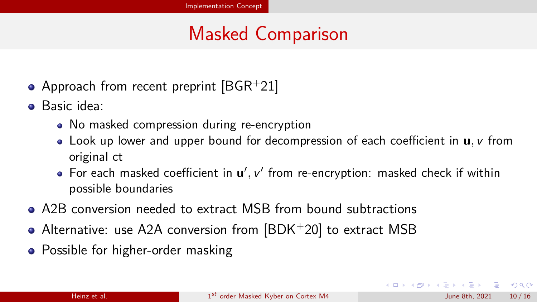# Masked Comparison

- Approach from recent preprint  $[BGR+21]$  $[BGR+21]$
- Basic idea:
	- No masked compression during re-encryption
	- Look up lower and upper bound for decompression of each coefficient in **u**,  $\nu$  from original ct
	- For each masked coefficient in  $\mathbf{u}'$ ,  $\mathbf{v}'$  from re-encryption: masked check if within possible boundaries
- A2B conversion needed to extract MSB from bound subtractions
- Alternative: use A2A conversion from [\[BDK](#page-12-1)+20] to extract MSB
- Possible for higher-order masking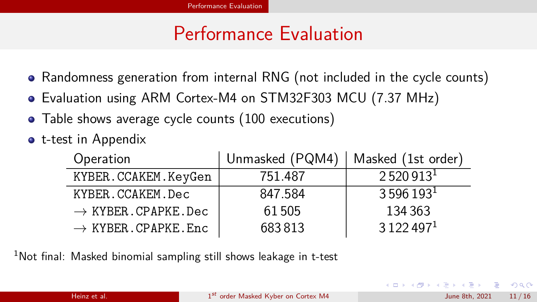# Performance Evaluation

- <span id="page-10-0"></span>• Randomness generation from internal RNG (not included in the cycle counts)
- Evaluation using ARM Cortex-M4 on STM32F303 MCU (7*.*37 MHz)
- Table shows average cycle counts (100 executions)
- **•** t-test in Appendix

| Operation                        | Unmasked (PQM4) | Masked (1st order)   |
|----------------------------------|-----------------|----------------------|
| KYBER.CCAKEM.KeyGen              | 751.487         | 2520913 <sup>1</sup> |
| KYBER.CCAKEM.Dec                 | 847.584         | 3596193 <sup>1</sup> |
| $\rightarrow$ KYBER. CPAPKE. Dec | 61505           | 134 363              |
| $\rightarrow$ KYBER. CPAPKE. Enc | 683813          | 3122497 <sup>1</sup> |

 $1$ Not final: Masked binomial sampling still shows leakage in t-test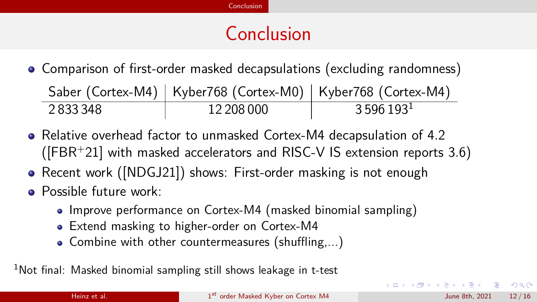# Conclusion

<span id="page-11-0"></span>• Comparison of first-order masked decapsulations (excluding randomness)

Saber (Cortex-M4) | Kyber768 (Cortex-M0) | Kyber768 (Cortex-M4)  $2833348$  12 208 000 3 596 193<sup>1</sup>

- Relative overhead factor to unmasked Cortex-M4 decapsulation of 4*.*2 ([\[FBR](#page-12-3)<sup>+</sup>21] with masked accelerators and RISC-V IS extension reports 3*.*6)
- Recent work ([\[NDGJ21\]](#page-12-9)) shows: First-order masking is not enough
- **O** Possible future work:
	- Improve performance on Cortex-M4 (masked binomial sampling)
	- Extend masking to higher-order on Cortex-M4
	- $\bullet$  Combine with other countermeasures (shuffling,...)

 $1$ Not final: Masked binomial sampling still shows leakage in t-test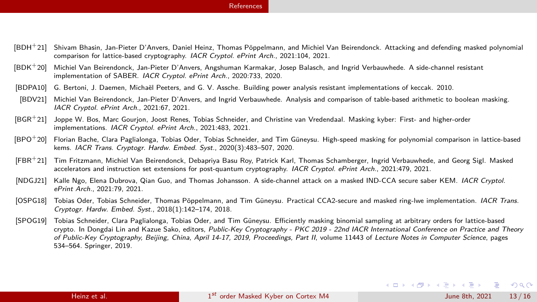#### [References](#page-12-10)

- <span id="page-12-10"></span><span id="page-12-5"></span>[BDH+21] Shivam Bhasin, Jan-Pieter D'Anvers, Daniel Heinz, Thomas Pöppelmann, and Michiel Van Beirendonck. Attacking and defending masked polynomial comparison for lattice-based cryptography. IACR Cryptol. ePrint Arch., 2021:104, 2021.
- <span id="page-12-1"></span>[BDK+20] Michiel Van Beirendonck, Jan-Pieter D'Anvers, Angshuman Karmakar, Josep Balasch, and Ingrid Verbauwhede. A side-channel resistant implementation of SABER. IACR Cryptol. ePrint Arch., 2020:733, 2020.
- <span id="page-12-6"></span>[BDPA10] G. Bertoni, J. Daemen, Michaël Peeters, and G. V. Assche. Building power analysis resistant implementations of keccak. 2010.
- <span id="page-12-8"></span>[BDV21] Michiel Van Beirendonck, Jan-Pieter D'Anvers, and Ingrid Verbauwhede. Analysis and comparison of table-based arithmetic to boolean masking. IACR Cryptol. ePrint Arch., 2021:67, 2021.
- <span id="page-12-2"></span>[BGR+21] Joppe W. Bos, Marc Gourjon, Joost Renes, Tobias Schneider, and Christine van Vredendaal. Masking kyber: First- and higher-order implementations. IACR Cryptol. ePrint Arch., 2021:483, 2021.
- <span id="page-12-4"></span> $[BPO<sup>+</sup>20]$  Florian Bache, Clara Paglialonga, Tobias Oder, Tobias Schneider, and Tim Güneysu. High-speed masking for polynomial comparison in lattice-based kems. IACR Trans. Cryptogr. Hardw. Embed. Syst., 2020(3):483–507, 2020.
- <span id="page-12-3"></span>[FBR+21] Tim Fritzmann, Michiel Van Beirendonck, Debapriya Basu Roy, Patrick Karl, Thomas Schamberger, Ingrid Verbauwhede, and Georg Sigl. Masked accelerators and instruction set extensions for post-quantum cryptography. *IACR Cryptol. ePrint Arch.*, 2021:479, 2021.
- <span id="page-12-9"></span>[NDGJ21] Kalle Ngo, Elena Dubrova, Qian Guo, and Thomas Johansson, A side-channel attack on a masked IND-CCA secure saber KEM. *IACR Cryptol*. ePrint Arch., 2021:79, 2021.
- <span id="page-12-0"></span>[OSPG18] Tobias Oder, Tobias Schneider, Thomas Pöppelmann, and Tim Güneysu. Practical CCA2-secure and masked ring-lwe implementation. IACR Trans. Cryptogr. Hardw. Embed. Syst., 2018(1):142–174, 2018.
- <span id="page-12-7"></span>[SPOG19] Tobias Schneider, Clara Paglialonga, Tobias Oder, and Tim Güneysu. Eÿciently masking binomial sampling at arbitrary orders for lattice-based crypto. In Dongdai Lin and Kazue Sako, editors, Public-Key Cryptography - PKC 2019 - 22nd IACR International Conference on Practice and Theory of Public-Key Cryptography, Beijing, China, April 14-17, 2019, Proceedings, Part II, volume 11443 of Lecture Notes in Computer Science, pages 534–564. Springer, 2019.

 $QQ$ 

 $A \equiv 1 + 4 \pmod{4} \Rightarrow A \equiv 1 + 4 \pmod{2} \Rightarrow A \equiv 1 + 4 \pmod{2} \Rightarrow A \equiv 1 + 4 \pmod{2} \Rightarrow A \equiv 1 + 4 \pmod{2} \Rightarrow A \equiv 1 + 4 \pmod{2} \Rightarrow A \equiv 1 + 4 \pmod{2} \Rightarrow A \equiv 1 + 4 \pmod{2} \Rightarrow A \equiv 1 + 4 \pmod{2} \Rightarrow A \equiv 1 + 4 \pmod{2} \Rightarrow A \equiv 1 + 4 \pmod{2} \Rightarrow A \equiv 1 + 4 \pmod{2} \Rightarrow A \equiv 1 + 4 \pmod{2} \Rightarrow A \equiv 1 + 4 \pmod{$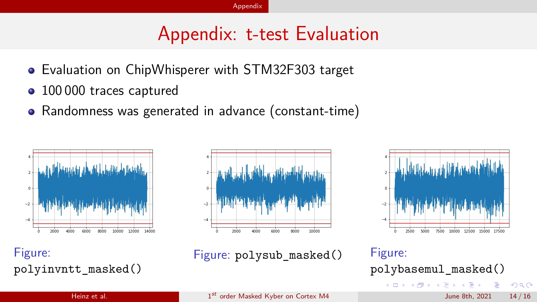## Appendix: t-test Evaluation

- <span id="page-13-0"></span>Evaluation on ChipWhisperer with STM32F303 target
- 100 000 traces captured  $\bullet$
- Randomness was generated in advance (constant-time)





Figure: Figure: polysub\_masked() Figure:



polyinvntt\_masked() polybasemul\_masked()  $299$ → 母

Heinz et al. 1st [order Masked Kyber on Cortex M4](#page-0-0) June 8th, 2021 14 / 16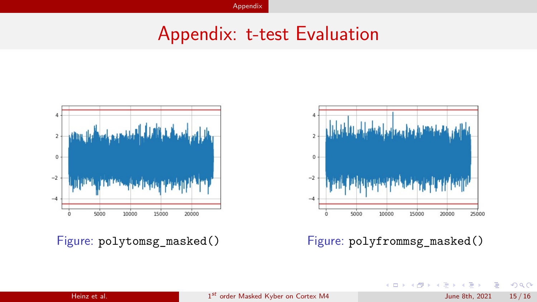## Appendix: t-test Evaluation





Figure: polytomsg\_masked() Figure: polyfrommsg\_masked()

 $\leftarrow$ 

Þ